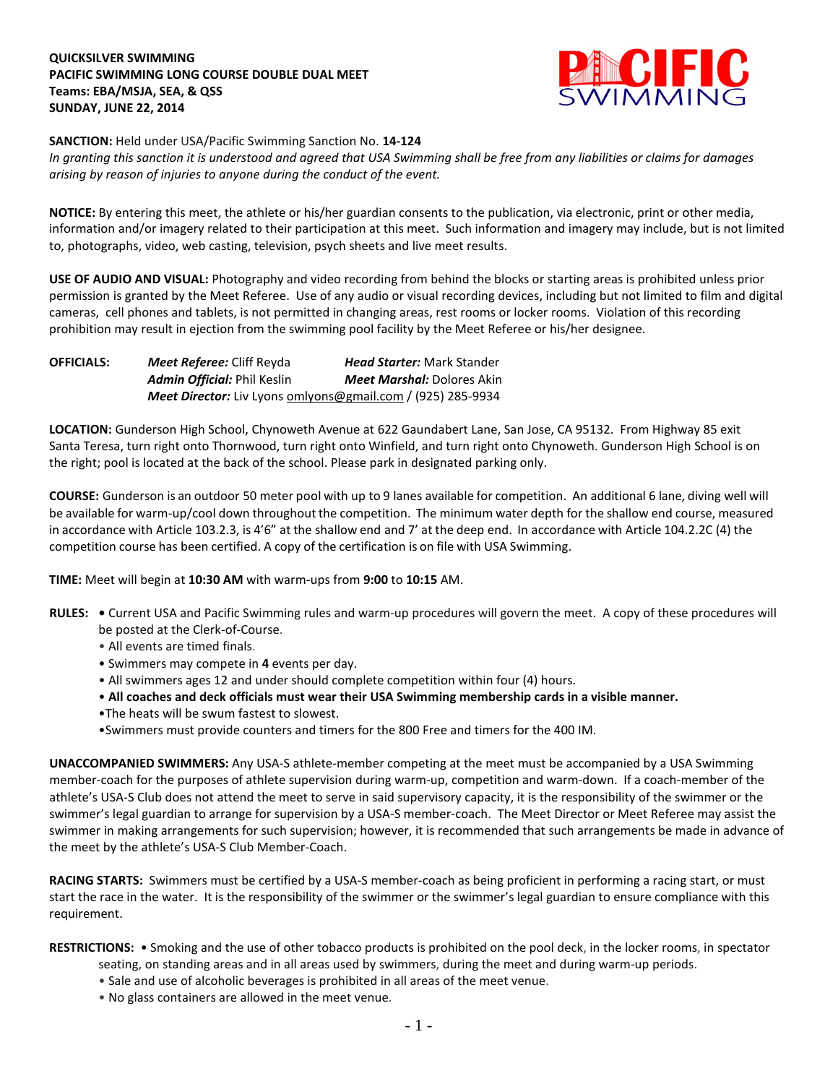## **QUICKSILVER SWIMMING PACIFIC SWIMMING LONG COURSE DOUBLE DUAL MEET Teams: EBA/MSJA, SEA, & QSS SUNDAY, JUNE 22, 2014**



**SANCTION:** Held under USA/Pacific Swimming Sanction No. **14-124**

*In granting this sanction it is understood and agreed that USA Swimming shall be free from any liabilities or claims for damages arising by reason of injuries to anyone during the conduct of the event.*

**NOTICE:** By entering this meet, the athlete or his/her guardian consents to the publication, via electronic, print or other media, information and/or imagery related to their participation at this meet. Such information and imagery may include, but is not limited to, photographs, video, web casting, television, psych sheets and live meet results.

**USE OF AUDIO AND VISUAL:** Photography and video recording from behind the blocks or starting areas is prohibited unless prior permission is granted by the Meet Referee. Use of any audio or visual recording devices, including but not limited to film and digital cameras, cell phones and tablets, is not permitted in changing areas, rest rooms or locker rooms. Violation of this recording prohibition may result in ejection from the swimming pool facility by the Meet Referee or his/her designee.

| <b>OFFICIALS:</b> | <b>Meet Referee:</b> Cliff Reyda                            | <b>Head Starter: Mark Stander</b> |  |
|-------------------|-------------------------------------------------------------|-----------------------------------|--|
|                   | <b>Admin Official: Phil Keslin</b>                          | <b>Meet Marshal:</b> Dolores Akin |  |
|                   | Meet Director: Liv Lyons omlyons@gmail.com / (925) 285-9934 |                                   |  |

**LOCATION:** Gunderson High School, Chynoweth Avenue at 622 Gaundabert Lane, San Jose, CA 95132. From Highway 85 exit Santa Teresa, turn right onto Thornwood, turn right onto Winfield, and turn right onto Chynoweth. Gunderson High School is on the right; pool is located at the back of the school. Please park in designated parking only.

**COURSE:** Gunderson is an outdoor 50 meter pool with up to 9 lanes available for competition. An additional 6 lane, diving well will be available for warm-up/cool down throughout the competition. The minimum water depth for the shallow end course, measured in accordance with Article 103.2.3, is 4'6" at the shallow end and 7' at the deep end. In accordance with Article 104.2.2C (4) the competition course has been certified. A copy of the certification is on file with USA Swimming.

**TIME:** Meet will begin at **10:30 AM** with warm-ups from **9:00** to **10:15** AM.

- **RULES:** Current USA and Pacific Swimming rules and warm-up procedures will govern the meet. A copy of these procedures will be posted at the Clerk-of-Course.
	- All events are timed finals.
	- Swimmers may compete in **4** events per day.
	- All swimmers ages 12 and under should complete competition within four (4) hours.
	- **All coaches and deck officials must wear their USA Swimming membership cards in a visible manner.**
	- •The heats will be swum fastest to slowest.
	- •Swimmers must provide counters and timers for the 800 Free and timers for the 400 IM.

**UNACCOMPANIED SWIMMERS:** Any USA-S athlete-member competing at the meet must be accompanied by a USA Swimming member-coach for the purposes of athlete supervision during warm-up, competition and warm-down. If a coach-member of the athlete's USA-S Club does not attend the meet to serve in said supervisory capacity, it is the responsibility of the swimmer or the swimmer's legal guardian to arrange for supervision by a USA-S member-coach. The Meet Director or Meet Referee may assist the swimmer in making arrangements for such supervision; however, it is recommended that such arrangements be made in advance of the meet by the athlete's USA-S Club Member-Coach.

**RACING STARTS:** Swimmers must be certified by a USA-S member-coach as being proficient in performing a racing start, or must start the race in the water. It is the responsibility of the swimmer or the swimmer's legal guardian to ensure compliance with this requirement.

**RESTRICTIONS:** • Smoking and the use of other tobacco products is prohibited on the pool deck, in the locker rooms, in spectator

- seating, on standing areas and in all areas used by swimmers, during the meet and during warm-up periods.
- Sale and use of alcoholic beverages is prohibited in all areas of the meet venue.
- No glass containers are allowed in the meet venue.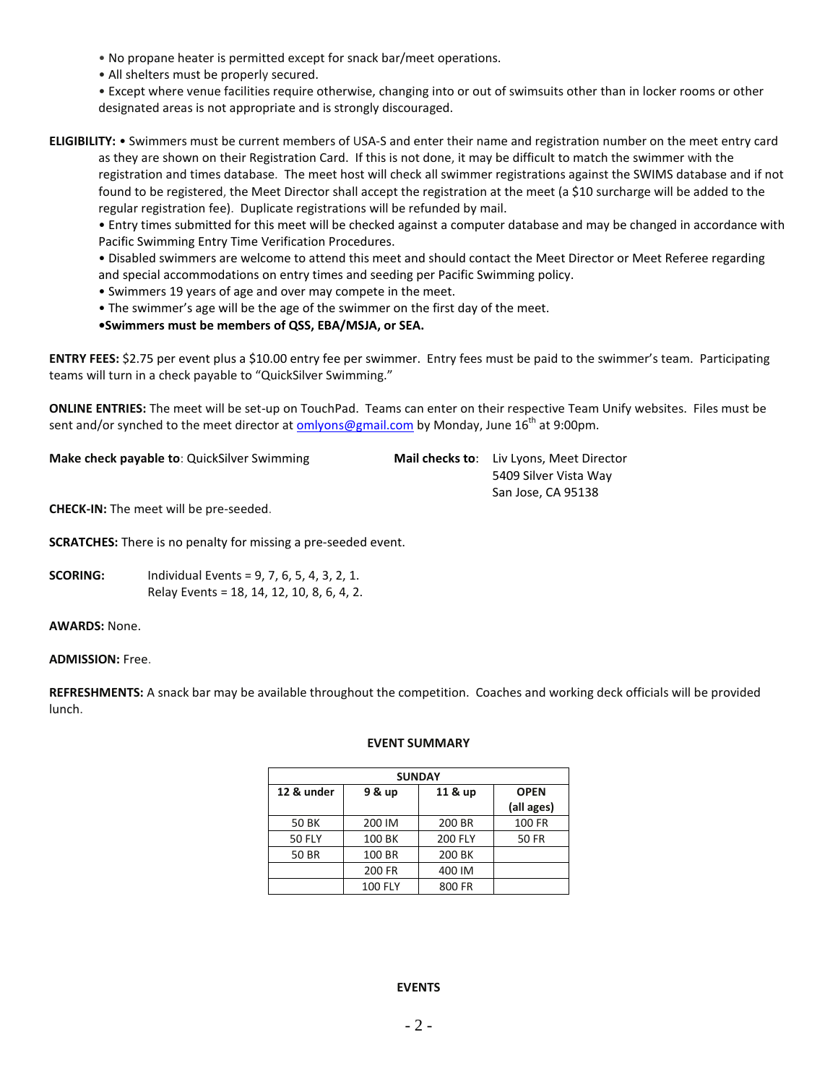- No propane heater is permitted except for snack bar/meet operations.
- All shelters must be properly secured.

• Except where venue facilities require otherwise, changing into or out of swimsuits other than in locker rooms or other designated areas is not appropriate and is strongly discouraged.

**ELIGIBILITY:** • Swimmers must be current members of USA-S and enter their name and registration number on the meet entry card as they are shown on their Registration Card. If this is not done, it may be difficult to match the swimmer with the registration and times database. The meet host will check all swimmer registrations against the SWIMS database and if not found to be registered, the Meet Director shall accept the registration at the meet (a \$10 surcharge will be added to the regular registration fee). Duplicate registrations will be refunded by mail.

• Entry times submitted for this meet will be checked against a computer database and may be changed in accordance with Pacific Swimming Entry Time Verification Procedures.

• Disabled swimmers are welcome to attend this meet and should contact the Meet Director or Meet Referee regarding and special accommodations on entry times and seeding per Pacific Swimming policy.

- Swimmers 19 years of age and over may compete in the meet.
- The swimmer's age will be the age of the swimmer on the first day of the meet.
- **•Swimmers must be members of QSS, EBA/MSJA, or SEA.**

**ENTRY FEES:** \$2.75 per event plus a \$10.00 entry fee per swimmer. Entry fees must be paid to the swimmer's team. Participating teams will turn in a check payable to "QuickSilver Swimming."

**ONLINE ENTRIES:** The meet will be set-up on TouchPad. Teams can enter on their respective Team Unify websites. Files must be sent and/or synched to the meet director at [omlyons@gmail.com](mailto:omlyons@gmail.com) by Monday, June 16<sup>th</sup> at 9:00pm.

**Make check payable to**: QuickSilver Swimming **Mail checks to**: Liv Lyons, Meet Director

5409 Silver Vista Way San Jose, CA 95138

**CHECK-IN:** The meet will be pre-seeded.

**SCRATCHES:** There is no penalty for missing a pre-seeded event.

**SCORING:** Individual Events = 9, 7, 6, 5, 4, 3, 2, 1. Relay Events = 18, 14, 12, 10, 8, 6, 4, 2.

**AWARDS:** None.

**ADMISSION:** Free.

**REFRESHMENTS:** A snack bar may be available throughout the competition. Coaches and working deck officials will be provided lunch.

## **EVENT SUMMARY**

| <b>SUNDAY</b> |                |                |              |  |
|---------------|----------------|----------------|--------------|--|
| 12 & under    | 9 & up         | 11 & up        | <b>OPEN</b>  |  |
|               |                |                | (all ages)   |  |
| 50 BK         | 200 IM         | 200 BR         | 100 FR       |  |
| <b>50 FLY</b> | 100 BK         | <b>200 FLY</b> | <b>50 FR</b> |  |
| 50 BR         | 100 BR         | 200 BK         |              |  |
|               | 200 FR         | 400 IM         |              |  |
|               | <b>100 FLY</b> | 800 FR         |              |  |

## **EVENTS**